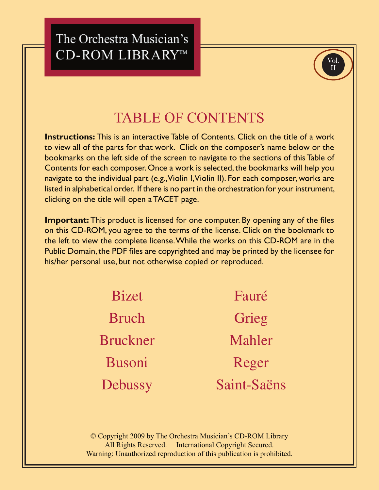# The Orchestra Musician's CD-ROM LIBRARY™



# TABLE OF CONTENTS

**Instructions:** This is an interactive Table of Contents. Click on the title of a work to view all of the parts for that work. Click on the composer's name below or the bookmarks on the left side of the screen to navigate to the sections of this Table of Contents for each composer. Once a work is selected, the bookmarks will help you navigate to the individual part (e.g., Violin I, Violin II). For each composer, works are listed in alphabetical order. If there is no part in the orchestration for your instrument, clicking on the title will open a TACET page.

**Important:** This product is licensed for one computer. By opening any of the files on this CD-ROM, you agree to the terms of the license. Click on the bookmark to the left to view the complete license. While the works on this CD-ROM are in the Public Domain, the PDF files are copyrighted and may be printed by the licensee for his/her personal use, but not otherwise copied or reproduced.

> Bizet Bruch [Bruckner](#page-1-0) Busoni **[Debussy](#page-2-0)** [Fauré](#page-2-0) Grieg [Mahler](#page-3-0) Reger [Saint-Saëns](#page-4-0)

© Copyright 2009 by The Orchestra Musician's CD-ROM Library All Rights Reserved. International Copyright Secured. Warning: Unauthorized reproduction of this publication is prohibited.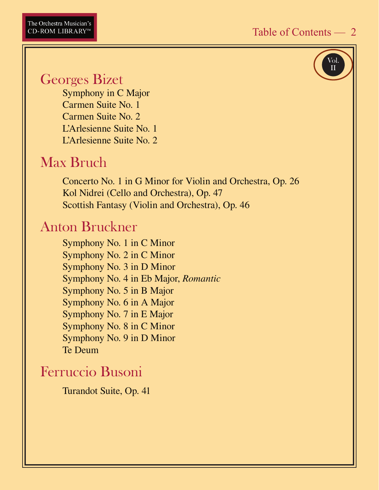Vol. II

### <span id="page-1-0"></span>Georges Bizet

Symphony in C Major Carmen Suite No. 1 Carmen Suite No. 2 L'Arlesienne Suite No. 1 L'Arlesienne Suite No. 2

## Max Bruch

 Concerto No. 1 in G Minor for Violin and Orchestra, Op. 26 Kol Nidrei (Cello and Orchestra), Op. 47 Scottish Fantasy (Violin and Orchestra), Op. 46

### Anton Bruckner

 Symphony No. 1 in C Minor Symphony No. 2 in C Minor Symphony No. 3 in D Minor Symphony No. 4 in Eb Major, *Romantic* Symphony No. 5 in B Major Symphony No. 6 in A Major Symphony No. 7 in E Major Symphony No. 8 in C Minor Symphony No. 9 in D Minor Te Deum

### Ferruccio Busoni

Turandot Suite, Op. 41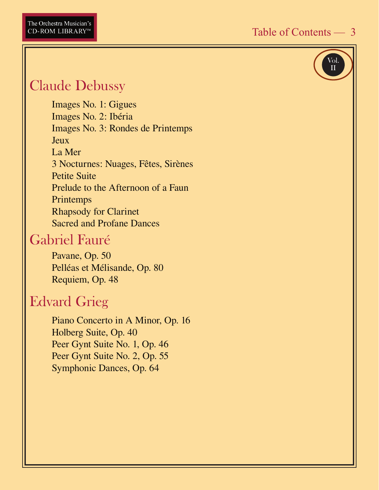

# <span id="page-2-0"></span>Claude Debussy

 Images No. 1: Gigues Images No. 2: Ibéria Images No. 3: Rondes de Printemps Jeux La Mer 3 Nocturnes: Nuages, Fêtes, Sirènes Petite Suite Prelude to the Afternoon of a Faun Printemps Rhapsody for Clarinet Sacred and Profane Dances

### Gabriel Fauré

 Pavane, Op. 50 Pelléas et Mélisande, Op. 80 Requiem, Op. 48

### Edvard Grieg

 Piano Concerto in A Minor, Op. 16 Holberg Suite, Op. 40 Peer Gynt Suite No. 1, Op. 46 Peer Gynt Suite No. 2, Op. 55 Symphonic Dances, Op. 64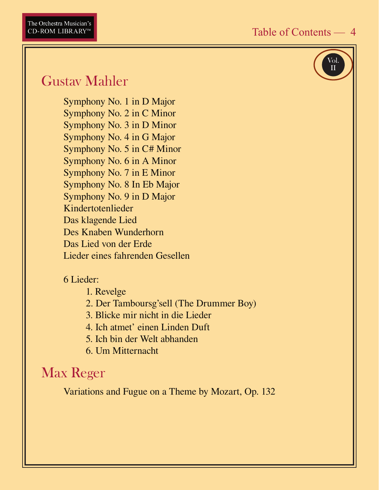

## <span id="page-3-0"></span>Gustav Mahler

Symphony No. 1 in D Major Symphony No. 2 in C Minor Symphony No. 3 in D Minor Symphony No. 4 in G Major Symphony No. 5 in C# Minor Symphony No. 6 in A Minor Symphony No. 7 in E Minor Symphony No. 8 In Eb Major Symphony No. 9 in D Major Kindertotenlieder Das klagende Lied Des Knaben Wunderhorn Das Lied von der Erde Lieder eines fahrenden Gesellen

#### 6 Lieder:

1. Revelge

- 2. Der Tamboursg'sell (The Drummer Boy)
- 3. Blicke mir nicht in die Lieder
- 4. Ich atmet' einen Linden Duft
- 5. Ich bin der Welt abhanden
- 6. Um Mitternacht

### Max Reger

Variations and Fugue on a Theme by Mozart, Op. 132